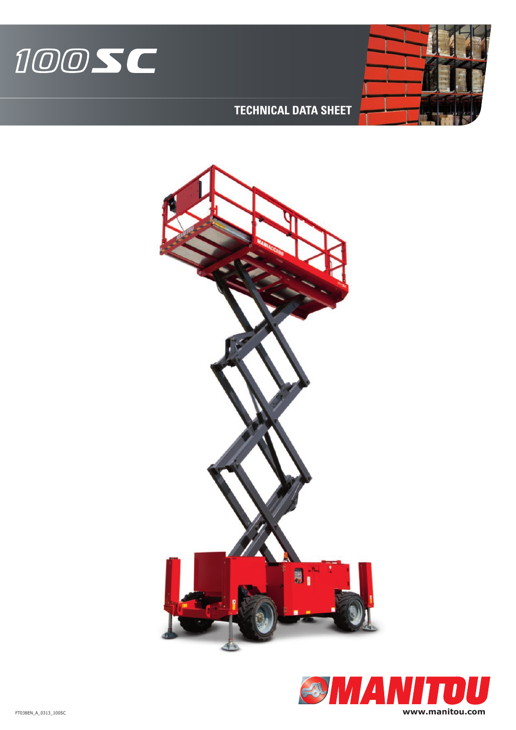



## **TECHNICAL DATA SHEET**